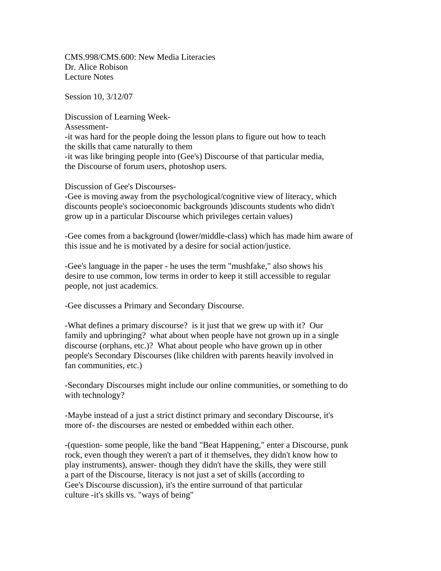CMS.998/CMS.600: New Media Literacies Dr. Alice Robison Lecture Notes

Session 10, 3/12/07

Discussion of Learning Week-Assessment- -it was hard for the people doing the lesson plans to figure out how to teach the skills that came naturally to them -it was like bringing people into (Gee's) Discourse of that particular media, the Discourse of forum users, photoshop users.

Discussion of Gee's Discourses-

-Gee is moving away from the psychological/cognitive view of literacy, which discounts people's socioeconomic backgrounds )discounts students who didn't grow up in a particular Discourse which privileges certain values)

-Gee comes from a background (lower/middle-class) which has made him aware of this issue and he is motivated by a desire for social action/justice.

-Gee's language in the paper - he uses the term "mushfake," also shows his desire to use common, low terms in order to keep it still accessible to regular people, not just academics.

-Gee discusses a Primary and Secondary Discourse.

-What defines a primary discourse? is it just that we grew up with it? Our family and upbringing? what about when people have not grown up in a single discourse (orphans, etc.)? What about people who have grown up in other people's Secondary Discourses (like children with parents heavily involved in fan communities, etc.)

-Secondary Discourses might include our online communities, or something to do with technology?

-Maybe instead of a just a strict distinct primary and secondary Discourse, it's more of- the discourses are nested or embedded within each other.

-(question- some people, like the band "Beat Happening," enter a Discourse, punk rock, even though they weren't a part of it themselves, they didn't know how to play instruments), answer- though they didn't have the skills, they were still a part of the Discourse, literacy is not just a set of skills (according to Gee's Discourse discussion), it's the entire surround of that particular culture -it's skills vs. "ways of being"